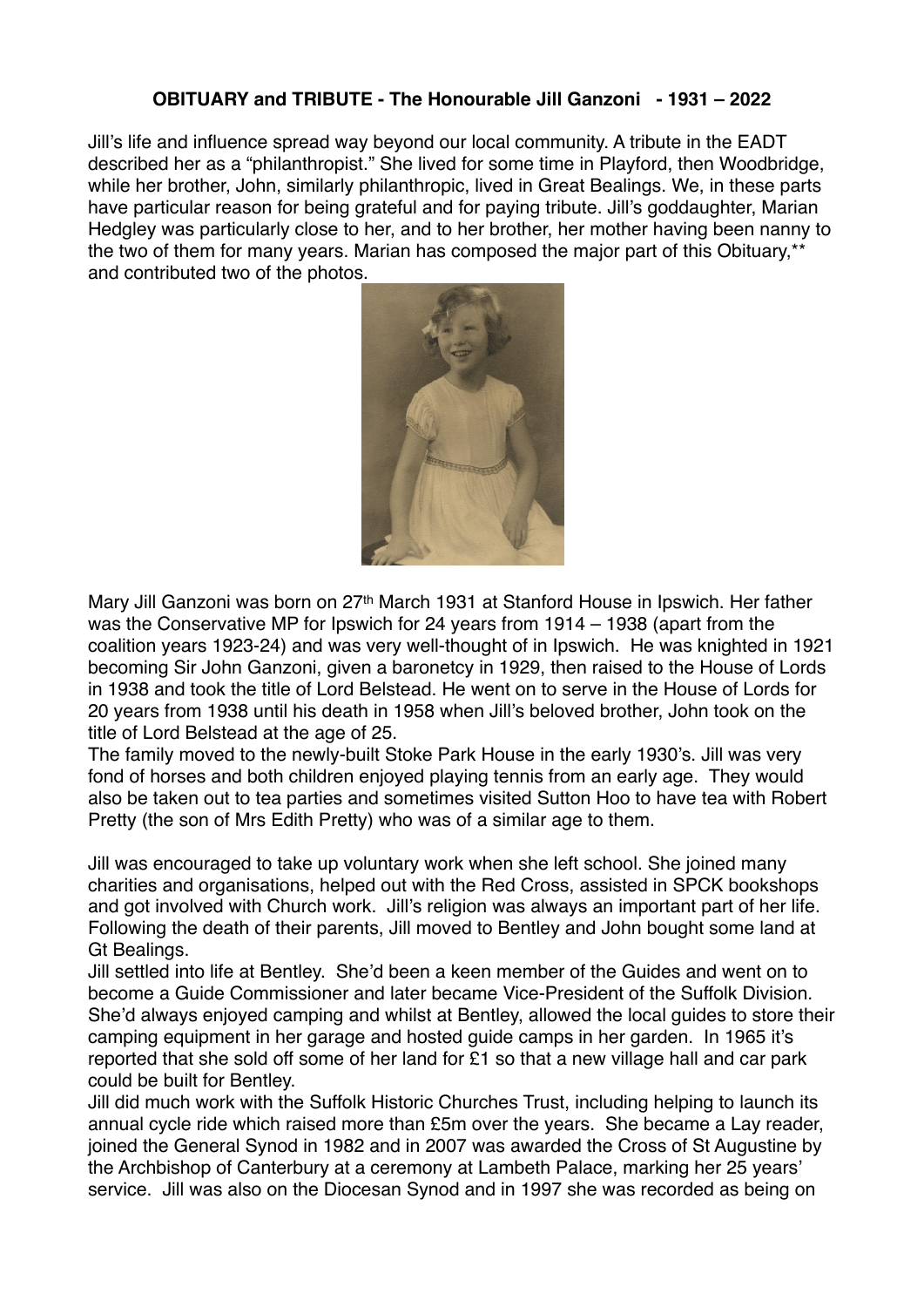## **OBITUARY and TRIBUTE - The Honourable Jill Ganzoni - 1931 – 2022**

Jill's life and influence spread way beyond our local community. A tribute in the EADT described her as a "philanthropist." She lived for some time in Playford, then Woodbridge, while her brother, John, similarly philanthropic, lived in Great Bealings. We, in these parts have particular reason for being grateful and for paying tribute. Jill's goddaughter, Marian Hedgley was particularly close to her, and to her brother, her mother having been nanny to the two of them for many years. Marian has composed the major part of this Obituary,\*\* and contributed two of the photos.



Mary Jill Ganzoni was born on 27th March 1931 at Stanford House in Ipswich. Her father was the Conservative MP for Ipswich for 24 years from 1914 – 1938 (apart from the coalition years 1923-24) and was very well-thought of in Ipswich. He was knighted in 1921 becoming Sir John Ganzoni, given a baronetcy in 1929, then raised to the House of Lords in 1938 and took the title of Lord Belstead. He went on to serve in the House of Lords for 20 years from 1938 until his death in 1958 when Jill's beloved brother, John took on the title of Lord Belstead at the age of 25.

The family moved to the newly-built Stoke Park House in the early 1930's. Jill was very fond of horses and both children enjoyed playing tennis from an early age. They would also be taken out to tea parties and sometimes visited Sutton Hoo to have tea with Robert Pretty (the son of Mrs Edith Pretty) who was of a similar age to them.

Jill was encouraged to take up voluntary work when she left school. She joined many charities and organisations, helped out with the Red Cross, assisted in SPCK bookshops and got involved with Church work. Jill's religion was always an important part of her life. Following the death of their parents, Jill moved to Bentley and John bought some land at Gt Bealings.

Jill settled into life at Bentley. She'd been a keen member of the Guides and went on to become a Guide Commissioner and later became Vice-President of the Suffolk Division. She'd always enjoyed camping and whilst at Bentley, allowed the local guides to store their camping equipment in her garage and hosted guide camps in her garden. In 1965 it's reported that she sold off some of her land for £1 so that a new village hall and car park could be built for Bentley.

Jill did much work with the Suffolk Historic Churches Trust, including helping to launch its annual cycle ride which raised more than £5m over the years. She became a Lay reader, joined the General Synod in 1982 and in 2007 was awarded the Cross of St Augustine by the Archbishop of Canterbury at a ceremony at Lambeth Palace, marking her 25 years' service. Jill was also on the Diocesan Synod and in 1997 she was recorded as being on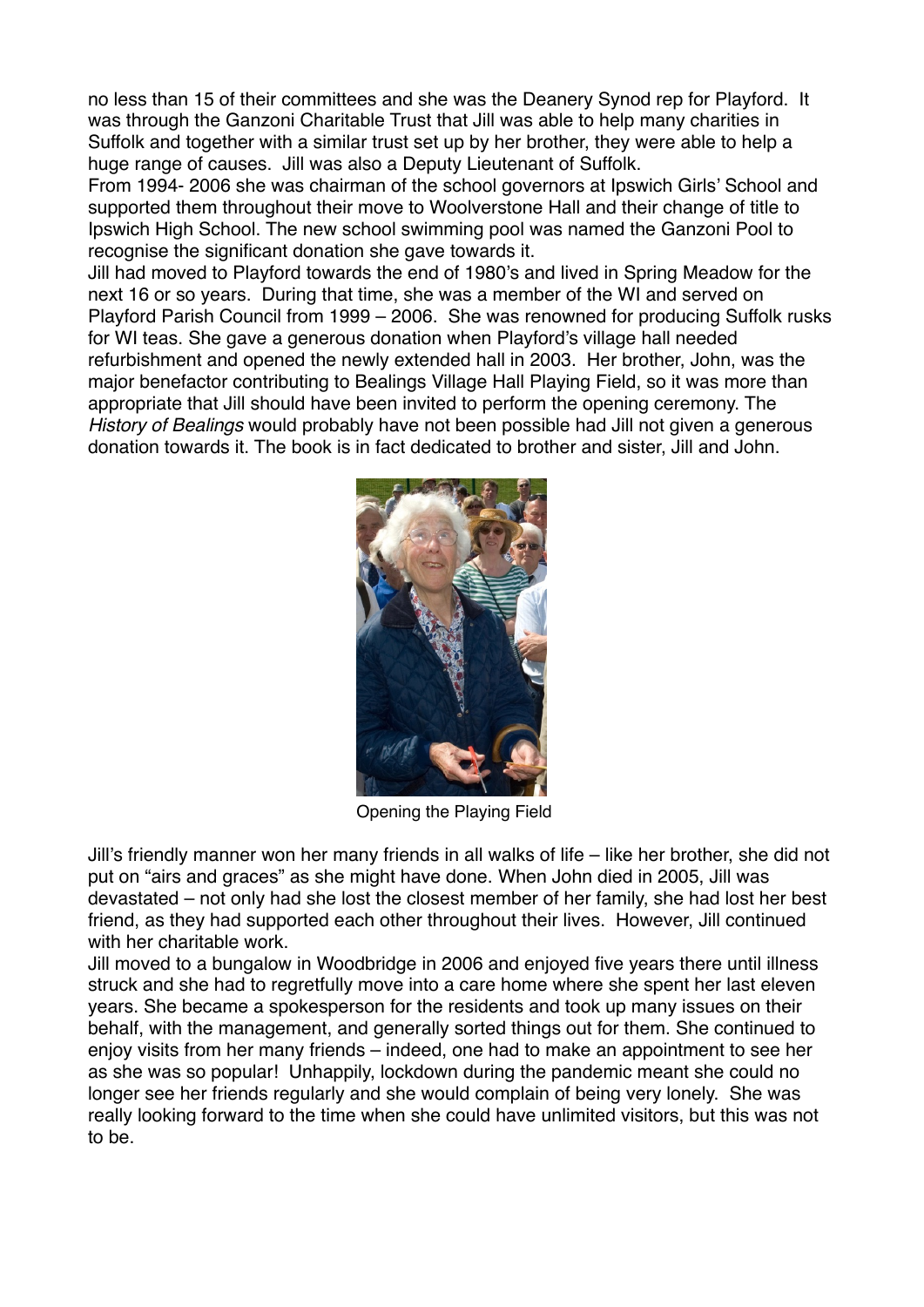no less than 15 of their committees and she was the Deanery Synod rep for Playford. It was through the Ganzoni Charitable Trust that Jill was able to help many charities in Suffolk and together with a similar trust set up by her brother, they were able to help a huge range of causes. Jill was also a Deputy Lieutenant of Suffolk.

From 1994- 2006 she was chairman of the school governors at Ipswich Girls' School and supported them throughout their move to Woolverstone Hall and their change of title to Ipswich High School. The new school swimming pool was named the Ganzoni Pool to recognise the significant donation she gave towards it.

Jill had moved to Playford towards the end of 1980's and lived in Spring Meadow for the next 16 or so years. During that time, she was a member of the WI and served on Playford Parish Council from 1999 – 2006. She was renowned for producing Suffolk rusks for WI teas. She gave a generous donation when Playford's village hall needed refurbishment and opened the newly extended hall in 2003. Her brother, John, was the major benefactor contributing to Bealings Village Hall Playing Field, so it was more than appropriate that Jill should have been invited to perform the opening ceremony. The *History of Bealings* would probably have not been possible had Jill not given a generous donation towards it. The book is in fact dedicated to brother and sister, Jill and John.



Opening the Playing Field

Jill's friendly manner won her many friends in all walks of life – like her brother, she did not put on "airs and graces" as she might have done. When John died in 2005, Jill was devastated – not only had she lost the closest member of her family, she had lost her best friend, as they had supported each other throughout their lives. However, Jill continued with her charitable work.

Jill moved to a bungalow in Woodbridge in 2006 and enjoyed five years there until illness struck and she had to regretfully move into a care home where she spent her last eleven years. She became a spokesperson for the residents and took up many issues on their behalf, with the management, and generally sorted things out for them. She continued to enjoy visits from her many friends – indeed, one had to make an appointment to see her as she was so popular! Unhappily, lockdown during the pandemic meant she could no longer see her friends regularly and she would complain of being very lonely. She was really looking forward to the time when she could have unlimited visitors, but this was not to be.